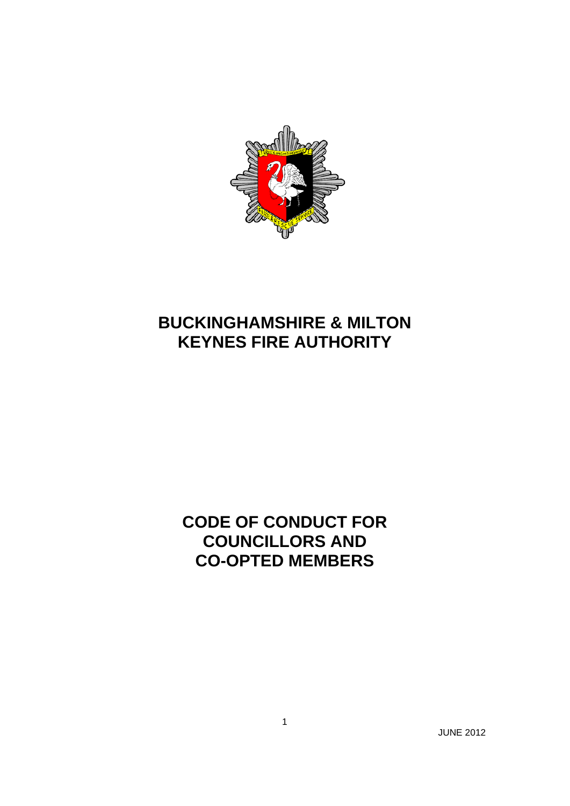

# **BUCKINGHAMSHIRE & MILTON KEYNES FIRE AUTHORITY**

## **CODE OF CONDUCT FOR COUNCILLORS AND CO-OPTED MEMBERS**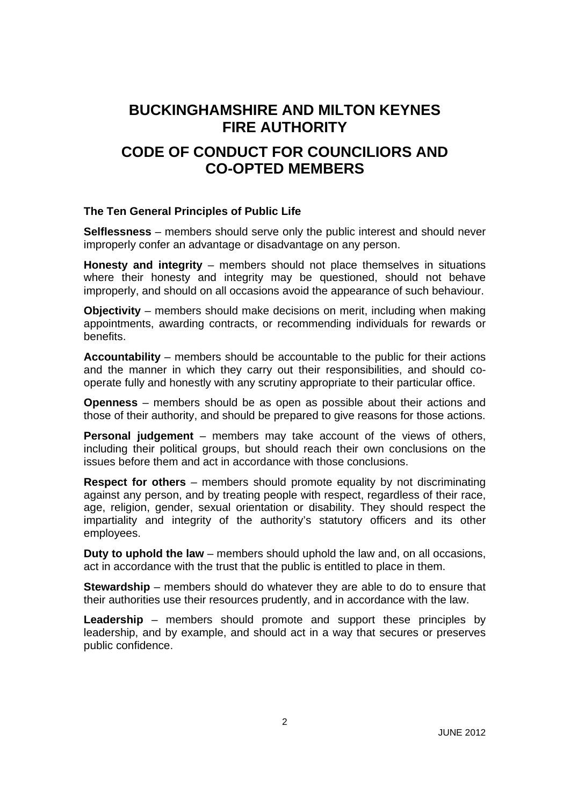## **BUCKINGHAMSHIRE AND MILTON KEYNES FIRE AUTHORITY**

### **CODE OF CONDUCT FOR COUNCILIORS AND CO-OPTED MEMBERS**

#### **The Ten General Principles of Public Life**

**Selflessness** – members should serve only the public interest and should never improperly confer an advantage or disadvantage on any person.

**Honesty and integrity** – members should not place themselves in situations where their honesty and integrity may be questioned, should not behave improperly, and should on all occasions avoid the appearance of such behaviour.

**Objectivity** – members should make decisions on merit, including when making appointments, awarding contracts, or recommending individuals for rewards or benefits.

**Accountability** – members should be accountable to the public for their actions and the manner in which they carry out their responsibilities, and should cooperate fully and honestly with any scrutiny appropriate to their particular office.

**Openness** – members should be as open as possible about their actions and those of their authority, and should be prepared to give reasons for those actions.

**Personal judgement** – members may take account of the views of others, including their political groups, but should reach their own conclusions on the issues before them and act in accordance with those conclusions.

**Respect for others** – members should promote equality by not discriminating against any person, and by treating people with respect, regardless of their race, age, religion, gender, sexual orientation or disability. They should respect the impartiality and integrity of the authority's statutory officers and its other employees.

**Duty to uphold the law** – members should uphold the law and, on all occasions, act in accordance with the trust that the public is entitled to place in them.

**Stewardship** – members should do whatever they are able to do to ensure that their authorities use their resources prudently, and in accordance with the law.

**Leadership** – members should promote and support these principles by leadership, and by example, and should act in a way that secures or preserves public confidence.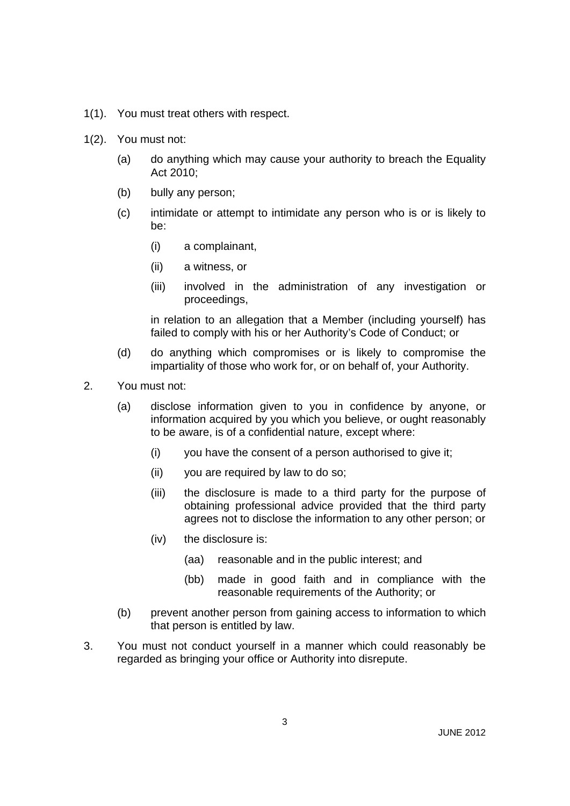- 1(1). You must treat others with respect.
- 1(2). You must not:
	- (a) do anything which may cause your authority to breach the Equality Act 2010;
	- (b) bully any person;
	- (c) intimidate or attempt to intimidate any person who is or is likely to be:
		- (i) a complainant,
		- (ii) a witness, or
		- (iii) involved in the administration of any investigation or proceedings,

in relation to an allegation that a Member (including yourself) has failed to comply with his or her Authority's Code of Conduct; or

- (d) do anything which compromises or is likely to compromise the impartiality of those who work for, or on behalf of, your Authority.
- 2. You must not:
	- (a) disclose information given to you in confidence by anyone, or information acquired by you which you believe, or ought reasonably to be aware, is of a confidential nature, except where:
		- (i) you have the consent of a person authorised to give it;
		- (ii) you are required by law to do so;
		- (iii) the disclosure is made to a third party for the purpose of obtaining professional advice provided that the third party agrees not to disclose the information to any other person; or
		- (iv) the disclosure is:
			- (aa) reasonable and in the public interest; and
			- (bb) made in good faith and in compliance with the reasonable requirements of the Authority; or
	- (b) prevent another person from gaining access to information to which that person is entitled by law.
- 3. You must not conduct yourself in a manner which could reasonably be regarded as bringing your office or Authority into disrepute.